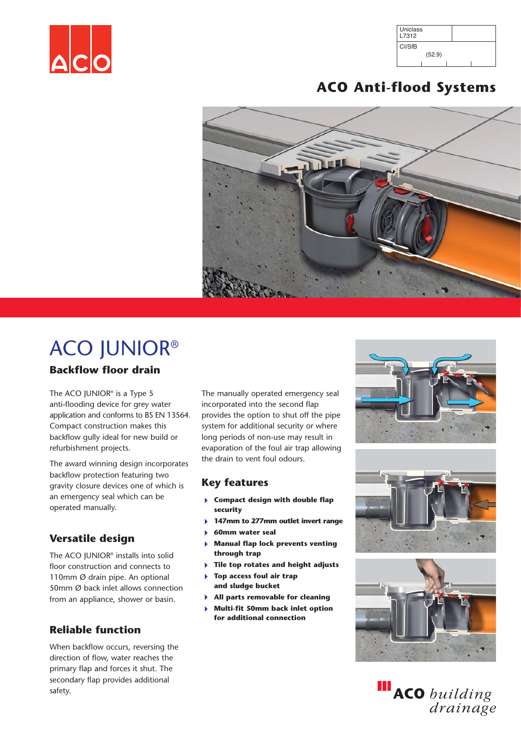

| Uniclass<br>L7312 |  |
|-------------------|--|
| CI/SfB            |  |
| (52.9)            |  |
|                   |  |

# **ACO Anti-flood Systems**



# ACO JUNIOR® **Backflow floor drain**

The ACO IUNIOR<sup>®</sup> is a Type 5 anti-flooding device for grey water application and conforms to BS EN 13564. Compact construction makes this backflow gully ideal for new build or refurbishment projects.

The award winning design incorporates backflow protection featuring two gravity closure devices one of which is an emergency seal which can be operated manually.

### **Versatile design**

The ACO JUNIOR® installs into solid floor construction and connects to 110mm Ø drain pipe. An optional 50mm Ø back inlet allows connection from an appliance, shower or basin.

### **Reliable function**

When backflow occurs, reversing the direction of flow, water reaches the primary flap and forces it shut. The secondary flap provides additional safety.

The manually operated emergency seal incorporated into the second flap provides the option to shut off the pipe system for additional security or where long periods of non-use may result in evaporation of the foul air trap allowing the drain to vent foul odours.

#### **Key features**

- 4 **Compact design with double flap security**
- 4 **147mm to 277mm outlet invert range**
- 4 **60mm water seal**
- 4 **Manual flap lock prevents venting through trap**
- 4 **Tile top rotates and height adjusts**
- 4 **Top access foul air trap and sludge bucket**
- 4 **All parts removable for cleaning**
- 4 **Multi-fit 50mm back inlet option for additional connection**







ACO building<br>drainage